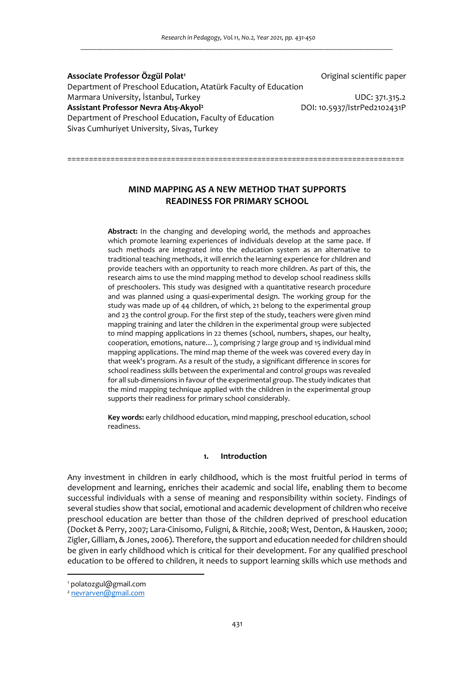**Associate Professor Özgül Polat<sup>1</sup>** Original scientific paper Department of Preschool Education, Atatürk Faculty of Education Marmara University, İstanbul, Turkey UDC: 371.315.2 **Assistant Professor Nevra Atış-Akyol<sup>2</sup>** DOI: 10.5937/IstrPed2102431P Department of Preschool Education, Faculty of Education Sivas Cumhuriyet University, Sivas, Turkey

> **MIND MAPPING AS A NEW METHOD THAT SUPPORTS READINESS FOR PRIMARY SCHOOL**

==============================================================================

**Abstract:** In the changing and developing world, the methods and approaches which promote learning experiences of individuals develop at the same pace. If such methods are integrated into the education system as an alternative to traditional teaching methods, it will enrich the learning experience for children and provide teachers with an opportunity to reach more children. As part of this, the research aims to use the mind mapping method to develop school readiness skills of preschoolers. This study was designed with a quantitative research procedure and was planned using a quasi-experimental design. The working group for the study was made up of 44 children, of which, 21 belong to the experimental group and 23 the control group. For the first step of the study, teachers were given mind mapping training and later the children in the experimental group were subjected to mind mapping applications in 22 themes (school, numbers, shapes, our healty, cooperation, emotions, nature…), comprising 7 large group and 15 individual mind mapping applications. The mind map theme of the week was covered every day in that week's program. As a result of the study, a significant difference in scores for school readiness skills between the experimental and control groups was revealed for all sub-dimensions in favour of the experimental group. The study indicates that the mind mapping technique applied with the children in the experimental group supports their readiness for primary school considerably.

**Key words:** early childhood education, mind mapping, preschool education, school readiness.

#### **1. Introduction**

Any investment in children in early childhood, which is the most fruitful period in terms of development and learning, enriches their academic and social life, enabling them to become successful individuals with a sense of meaning and responsibility within society. Findings of several studies show that social, emotional and academic development of children who receive preschool education are better than those of the children deprived of preschool education (Docket & Perry, 2007; Lara-Cinisomo, Fuligni, & Ritchie, 2008; West, Denton, & Hausken, 2000; Zigler, Gilliam, & Jones, 2006). Therefore, the support and education needed for children should be given in early childhood which is critical for their development. For any qualified preschool education to be offered to children, it needs to support learning skills which use methods and

<sup>1</sup> polatozgul@gmail.com

<sup>&</sup>lt;sup>2</sup> nevrarven@gmail.com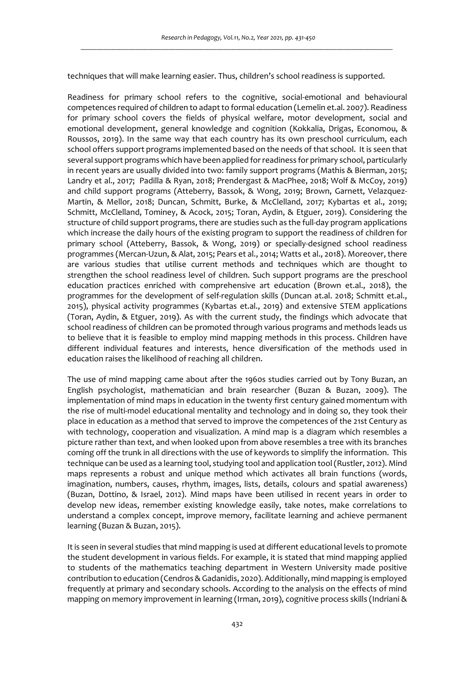techniques that will make learning easier. Thus, children's school readiness is supported.

Readiness for primary school refers to the cognitive, social-emotional and behavioural competences required of children to adapt to formal education (Lemelin et.al. 2007). Readiness for primary school covers the fields of physical welfare, motor development, social and emotional development, general knowledge and cognition (Kokkalia, Drigas, Economou, & Roussos, 2019). In the same way that each country has its own preschool curriculum, each school offers support programs implemented based on the needs of that school. It is seen that several support programs which have been applied for readiness for primary school, particularly in recent years are usually divided into two: family support programs (Mathis & Bierman, 2015; Landry et al., 2017; Padilla & Ryan, 2018; Prendergast & MacPhee, 2018; Wolf & McCoy, 2019) and child support programs (Atteberry, Bassok, & Wong, 2019; Brown, Garnett, Velazquez-Martin, & Mellor, 2018; Duncan, Schmitt, Burke, & McClelland, 2017; Kybartas et al., 2019; Schmitt, McClelland, Tominey, & Acock, 2015; Toran, Aydin, & Etguer, 2019). Considering the structure of child support programs, there are studies such as the full-day program applications which increase the daily hours of the existing program to support the readiness of children for primary school (Atteberry, Bassok, & Wong, 2019) or specially-designed school readiness programmes (Mercan-Uzun, & Alat, 2015; Pears et al., 2014; Watts et al., 2018). Moreover, there are various studies that utilise current methods and techniques which are thought to strengthen the school readiness level of children. Such support programs are the preschool education practices enriched with comprehensive art education (Brown et.al., 2018), the programmes for the development of self-regulation skills (Duncan at.al. 2018; Schmitt et.al., 2015), physical activity programmes (Kybartas et.al., 2019) and extensive STEM applications (Toran, Aydin, & Etguer, 2019). As with the current study, the findings which advocate that school readiness of children can be promoted through various programs and methods leads us to believe that it is feasible to employ mind mapping methods in this process. Children have different individual features and interests, hence diversification of the methods used in education raises the likelihood of reaching all children.

The use of mind mapping came about after the 1960s studies carried out by Tony Buzan, an English psychologist, mathematician and brain researcher (Buzan & Buzan, 2009). The implementation of mind maps in education in the twenty first century gained momentum with the rise of multi-model educational mentality and technology and in doing so, they took their place in education as a method that served to improve the competences of the 21st Century as with technology, cooperation and visualization. A mind map is a diagram which resembles a picture rather than text, and when looked upon from above resembles a tree with its branches coming off the trunk in all directions with the use of keywords to simplify the information. This technique can be used as a learning tool, studying tool and application tool (Rustler, 2012). Mind maps represents a robust and unique method which activates all brain functions (words, imagination, numbers, causes, rhythm, images, lists, details, colours and spatial awareness) (Buzan, Dottino, & Israel, 2012). Mind maps have been utilised in recent years in order to develop new ideas, remember existing knowledge easily, take notes, make correlations to understand a complex concept, improve memory, facilitate learning and achieve permanent learning (Buzan & Buzan, 2015).

It is seen in several studies that mind mapping is used at different educational levels to promote the student development in various fields. For example, it is stated that mind mapping applied to students of the mathematics teaching department in Western University made positive contribution to education (Cendros & Gadanidis, 2020). Additionally, mind mapping is employed frequently at primary and secondary schools. According to the analysis on the effects of mind mapping on memory improvement in learning (Irman, 2019), cognitive process skills (Indriani &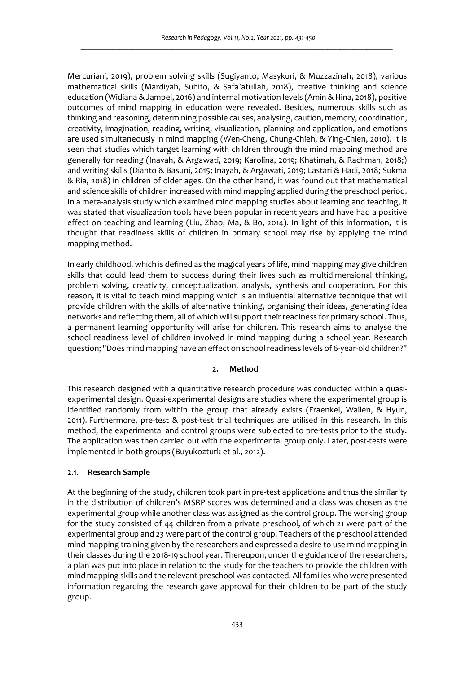Mercuriani, 2019), problem solving skills (Sugiyanto, Masykuri, & Muzzazinah, 2018), various mathematical skills (Mardiyah, Suhito, & Safa`atullah, 2018), creative thinking and science education (Widiana & Jampel, 2016) and internal motivation levels (Amin & Hina, 2018), positive outcomes of mind mapping in education were revealed. Besides, numerous skills such as thinking and reasoning, determining possible causes, analysing, caution, memory, coordination, creativity, imagination, reading, writing, visualization, planning and application, and emotions are used simultaneously in mind mapping (Wen-Cheng, Chung-Chieh, & Ying-Chien, 2010). It is seen that studies which target learning with children through the mind mapping method are generally for reading (Inayah, & Argawati, 2019; Karolina, 2019; Khatimah, & Rachman, 2018;) and writing skills (Dianto & Basuni, 2015; Inayah, & Argawati, 2019; Lastari & Hadi, 2018; Sukma & Ria, 2018) in children of older ages. On the other hand, it was found out that mathematical and science skills of children increased with mind mapping applied during the preschool period. In a meta-analysis study which examined mind mapping studies about learning and teaching, it was stated that visualization tools have been popular in recent years and have had a positive effect on teaching and learning (Liu, Zhao, Ma, & Bo, 2014). In light of this information, it is thought that readiness skills of children in primary school may rise by applying the mind mapping method.

In early childhood, which is defined as the magical years of life, mind mapping may give children skills that could lead them to success during their lives such as multidimensional thinking, problem solving, creativity, conceptualization, analysis, synthesis and cooperation. For this reason, it is vital to teach mind mapping which is an influential alternative technique that will provide children with the skills of alternative thinking, organising their ideas, generating idea networks and reflecting them, all of which will support their readiness for primary school. Thus, a permanent learning opportunity will arise for children. This research aims to analyse the school readiness level of children involved in mind mapping during a school year. Research question; "Does mind mapping have an effect on school readiness levels of 6-year-old children?"

### **2. Method**

This research designed with a quantitative research procedure was conducted within a quasiexperimental design. Quasi-experimental designs are studies where the experimental group is identified randomly from within the group that already exists (Fraenkel, Wallen, & Hyun, 2011). Furthermore, pre-test & post-test trial techniques are utilised in this research. In this method, the experimental and control groups were subjected to pre-tests prior to the study. The application was then carried out with the experimental group only. Later, post-tests were implemented in both groups (Buyukozturk et al., 2012).

# **2.1. Research Sample**

At the beginning of the study, children took part in pre-test applications and thus the similarity in the distribution of children's MSRP scores was determined and a class was chosen as the experimental group while another class was assigned as the control group. The working group for the study consisted of 44 children from a private preschool, of which 21 were part of the experimental group and 23 were part of the control group. Teachers of the preschool attended mind mapping training given by the researchers and expressed a desire to use mind mapping in their classes during the 2018-19 school year. Thereupon, under the guidance of the researchers, a plan was put into place in relation to the study for the teachers to provide the children with mind mapping skills and the relevant preschool was contacted. All families who were presented information regarding the research gave approval for their children to be part of the study group.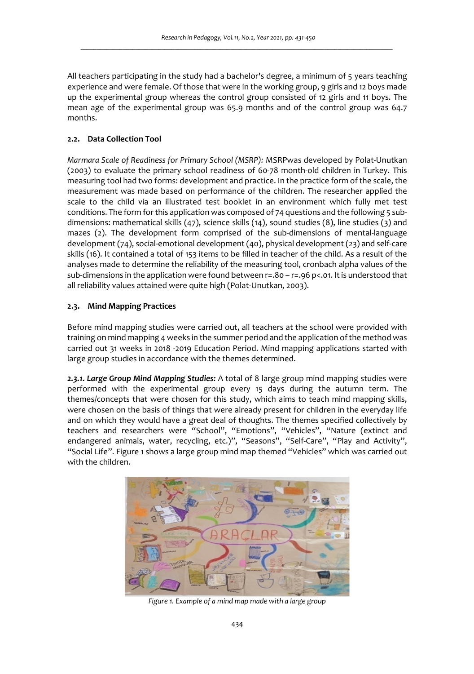All teachers participating in the study had a bachelor's degree, a minimum of 5 years teaching experience and were female. Of those that were in the working group, 9 girls and 12 boys made up the experimental group whereas the control group consisted of 12 girls and 11 boys. The mean age of the experimental group was 65.9 months and of the control group was 64.7 months.

# **2.2. Data Collection Tool**

*Marmara Scale of Readiness for Primary School (MSRP):* MSRPwas developed by Polat-Unutkan (2003) to evaluate the primary school readiness of 60-78 month-old children in Turkey. This measuring tool had two forms: development and practice. In the practice form of the scale, the measurement was made based on performance of the children. The researcher applied the scale to the child via an illustrated test booklet in an environment which fully met test conditions. The form for this application was composed of 74 questions and the following 5 subdimensions: mathematical skills (47), science skills (14), sound studies (8), line studies (3) and mazes (2). The development form comprised of the sub-dimensions of mental-language development (74), social-emotional development (40), physical development (23) and self-care skills (16). It contained a total of 153 items to be filled in teacher of the child. As a result of the analyses made to determine the reliability of the measuring tool, cronbach alpha values of the sub-dimensions in the application were found between r=.80 – r=.96 p<.01. It is understood that all reliability values attained were quite high (Polat-Unutkan, 2003).

## **2.3. Mind Mapping Practices**

Before mind mapping studies were carried out, all teachers at the school were provided with training on mind mapping 4 weeks in the summer period and the application of the method was carried out 31 weeks in 2018 -2019 Education Period. Mind mapping applications started with large group studies in accordance with the themes determined.

*2.3.1. Large Group Mind Mapping Studies:* A total of 8 large group mind mapping studies were performed with the experimental group every 15 days during the autumn term. The themes/concepts that were chosen for this study, which aims to teach mind mapping skills, were chosen on the basis of things that were already present for children in the everyday life and on which they would have a great deal of thoughts. The themes specified collectively by teachers and researchers were "School", "Emotions", "Vehicles", "Nature (extinct and endangered animals, water, recycling, etc.)", "Seasons", "Self-Care", "Play and Activity", "Social Life". Figure 1 shows a large group mind map themed "Vehicles" which was carried out with the children.



*Figure 1. Example of a mind map made with a large group*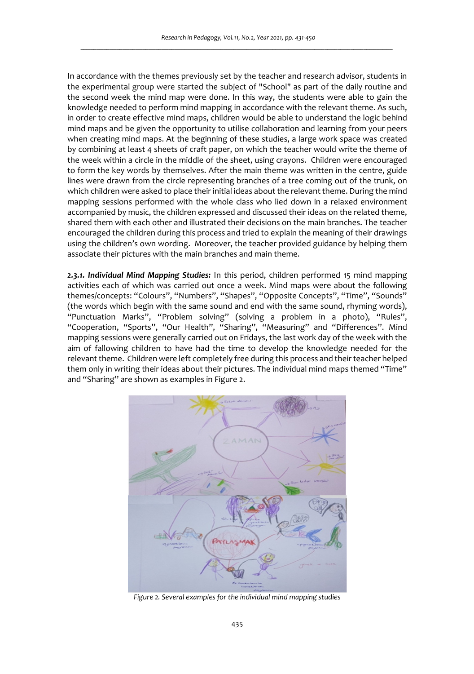In accordance with the themes previously set by the teacher and research advisor, students in the experimental group were started the subject of "School" as part of the daily routine and the second week the mind map were done. In this way, the students were able to gain the knowledge needed to perform mind mapping in accordance with the relevant theme. As such, in order to create effective mind maps, children would be able to understand the logic behind mind maps and be given the opportunity to utilise collaboration and learning from your peers when creating mind maps. At the beginning of these studies, a large work space was created by combining at least 4 sheets of craft paper, on which the teacher would write the theme of the week within a circle in the middle of the sheet, using crayons. Children were encouraged to form the key words by themselves. After the main theme was written in the centre, guide lines were drawn from the circle representing branches of a tree coming out of the trunk, on which children were asked to place their initial ideas about the relevant theme. During the mind mapping sessions performed with the whole class who lied down in a relaxed environment accompanied by music, the children expressed and discussed their ideas on the related theme, shared them with each other and illustrated their decisions on the main branches. The teacher encouraged the children during this process and tried to explain the meaning of their drawings using the children's own wording. Moreover, the teacher provided guidance by helping them associate their pictures with the main branches and main theme.

*2.3.1. Individual Mind Mapping Studies:* In this period, children performed 15 mind mapping activities each of which was carried out once a week. Mind maps were about the following themes/concepts: "Colours", "Numbers", "Shapes", "Opposite Concepts", "Time", "Sounds" (the words which begin with the same sound and end with the same sound, rhyming words), "Punctuation Marks", "Problem solving" (solving a problem in a photo), "Rules", "Cooperation, "Sports", "Our Health", "Sharing", "Measuring" and "Differences". Mind mapping sessions were generally carried out on Fridays, the last work day of the week with the aim of fallowing children to have had the time to develop the knowledge needed for the relevant theme. Children were left completely free during this process and their teacher helped them only in writing their ideas about their pictures. The individual mind maps themed "Time" and "Sharing" are shown as examples in Figure 2.



*Figure 2. Several examples for the individual mind mapping studies*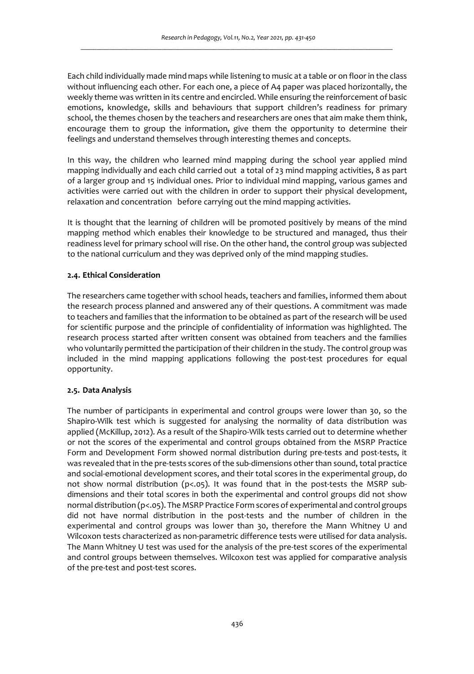Each child individually made mind maps while listening to music at a table or on floor in the class without influencing each other. For each one, a piece of A4 paper was placed horizontally, the weekly theme was written in its centre and encircled. While ensuring the reinforcement of basic emotions, knowledge, skills and behaviours that support children's readiness for primary school, the themes chosen by the teachers and researchers are ones that aim make them think, encourage them to group the information, give them the opportunity to determine their feelings and understand themselves through interesting themes and concepts.

In this way, the children who learned mind mapping during the school year applied mind mapping individually and each child carried out a total of 23 mind mapping activities, 8 as part of a larger group and 15 individual ones. Prior to individual mind mapping, various games and activities were carried out with the children in order to support their physical development, relaxation and concentration before carrying out the mind mapping activities.

It is thought that the learning of children will be promoted positively by means of the mind mapping method which enables their knowledge to be structured and managed, thus their readiness level for primary school will rise. On the other hand, the control group was subjected to the national curriculum and they was deprived only of the mind mapping studies.

## **2.4. Ethical Consideration**

The researchers came together with school heads, teachers and families, informed them about the research process planned and answered any of their questions. A commitment was made to teachers and families that the information to be obtained as part of the research will be used for scientific purpose and the principle of confidentiality of information was highlighted. The research process started after written consent was obtained from teachers and the families who voluntarily permitted the participation of their children in the study. The control group was included in the mind mapping applications following the post-test procedures for equal opportunity.

# **2.5. Data Analysis**

The number of participants in experimental and control groups were lower than 30, so the Shapiro-Wilk test which is suggested for analysing the normality of data distribution was applied (McKillup, 2012). As a result of the Shapiro-Wilk tests carried out to determine whether or not the scores of the experimental and control groups obtained from the MSRP Practice Form and Development Form showed normal distribution during pre-tests and post-tests, it was revealed that in the pre-tests scores of the sub-dimensions other than sound, total practice and social-emotional development scores, and their total scores in the experimental group, do not show normal distribution (p<.05). It was found that in the post-tests the MSRP subdimensions and their total scores in both the experimental and control groups did not show normal distribution (p<.05). The MSRP Practice Form scores of experimental and control groups did not have normal distribution in the post-tests and the number of children in the experimental and control groups was lower than 30, therefore the Mann Whitney U and Wilcoxon tests characterized as non-parametric difference tests were utilised for data analysis. The Mann Whitney U test was used for the analysis of the pre-test scores of the experimental and control groups between themselves. Wilcoxon test was applied for comparative analysis of the pre-test and post-test scores.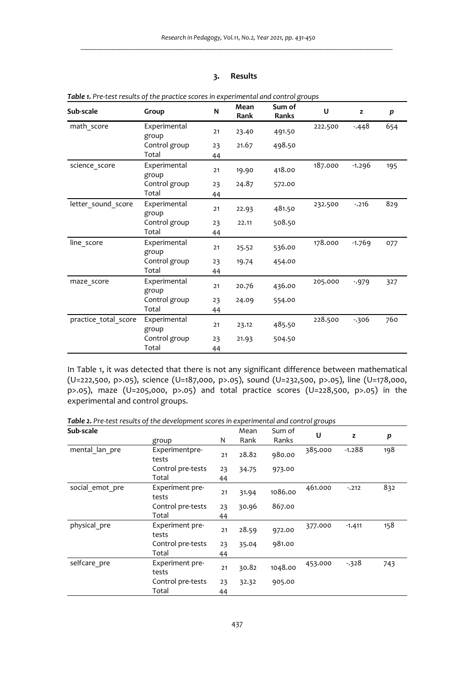# **3. Results**

| Sub-scale            | Group                 | N  | Mean<br>Rank | Sum of<br>Ranks | U       | z        | p   |
|----------------------|-----------------------|----|--------------|-----------------|---------|----------|-----|
| math score           | Experimental<br>group | 21 | 23.40        | 491.50          | 222.500 | $-448$   | 654 |
|                      | Control group         | 23 | 21.67        | 498.50          |         |          |     |
|                      | Total                 | 44 |              |                 |         |          |     |
| science score        | Experimental<br>group | 21 | 19.90        | 418.00          | 187.000 | $-1.296$ | 195 |
|                      | Control group         | 23 | 24.87        | 572.00          |         |          |     |
|                      | Total                 | 44 |              |                 |         |          |     |
| letter sound score   | Experimental<br>group | 21 | 22.93        | 481.50          | 232.500 | $-.216$  | 829 |
|                      | Control group         | 23 | 22.11        | 508.50          |         |          |     |
|                      | Total                 | 44 |              |                 |         |          |     |
| line score           | Experimental<br>group | 21 | 25.52        | 536.00          | 178.000 | $-1.769$ | 077 |
|                      | Control group         | 23 | 19.74        | 454.00          |         |          |     |
|                      | Total                 | 44 |              |                 |         |          |     |
| maze score           | Experimental<br>group | 21 | 20.76        | 436.00          | 205.000 | $-979$   | 327 |
|                      | Control group         | 23 | 24.09        | 554.00          |         |          |     |
|                      | Total                 | 44 |              |                 |         |          |     |
| practice total score | Experimental<br>group | 21 | 23.12        | 485.50          | 228.500 | $-306$   | 760 |
|                      | Control group         | 23 | 21.93        | 504.50          |         |          |     |
|                      | Total                 | 44 |              |                 |         |          |     |

| Table 1. Pre-test results of the practice scores in experimental and control groups |  |
|-------------------------------------------------------------------------------------|--|
|-------------------------------------------------------------------------------------|--|

In Table 1, it was detected that there is not any significant difference between mathematical (U=222,500, p>.05), science (U=187,000, p>.05), sound (U=232,500, p>.05), line (U=178,000, p>.05), maze (U=205,000, p>.05) and total practice scores (U=228,500, p>.05) in the experimental and control groups.

*Table 2. Pre-test results of the development scores in experimental and control groups* 

| Sub-scale       |                          |    | Mean  | Sum of  | U       |          |     |
|-----------------|--------------------------|----|-------|---------|---------|----------|-----|
|                 | group                    | N  | Rank  | Ranks   |         | z        | p   |
| mental lan pre  | Experimentpre-<br>tests  | 21 | 28.82 | 980.00  | 385.000 | $-1.288$ | 198 |
|                 | Control pre-tests        | 23 | 34.75 | 973.00  |         |          |     |
|                 | Total                    | 44 |       |         |         |          |     |
| social emot pre | Experiment pre-<br>tests | 21 | 31.94 | 1086.00 | 461.000 | $-.212$  | 832 |
|                 | Control pre-tests        | 23 | 30.96 | 867.00  |         |          |     |
|                 | Total                    | 44 |       |         |         |          |     |
| physical pre    | Experiment pre-<br>tests | 21 | 28.59 | 972.00  | 377.000 | $-1.411$ | 158 |
|                 | Control pre-tests        | 23 | 35.04 | 981.00  |         |          |     |
|                 | Total                    | 44 |       |         |         |          |     |
| selfcare_pre    | Experiment pre-<br>tests | 21 | 30.82 | 1048.00 | 453.000 | $-328$   | 743 |
|                 | Control pre-tests        | 23 | 32.32 | 905.00  |         |          |     |
|                 | Total                    | 44 |       |         |         |          |     |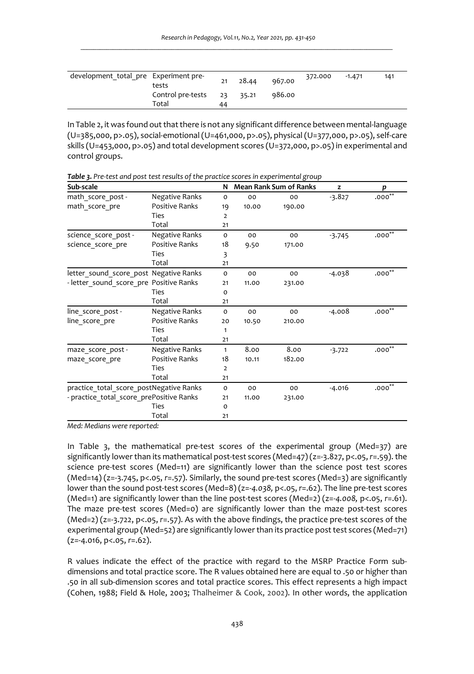| development total pre Experiment pre- | tests                                 | 21 | 28.44 | 967.00 | 372.000 | $-1.471$ | 141 |
|---------------------------------------|---------------------------------------|----|-------|--------|---------|----------|-----|
|                                       | Control pre-tests $23$ 35.21<br>Total | 44 |       | 986.00 |         |          |     |

In Table 2, it was found out that there is not any significant difference between mental-language (U=385,000, p>.05), social-emotional (U=461,000, p>.05), physical (U=377,000, p>.05), self-care skills (U=453,000, p>.05) and total development scores (U=372,000, p>.05) in experimental and control groups.

| Sub-scale                                |                       | N            |       | <b>Mean Rank Sum of Ranks</b> | z        | p           |
|------------------------------------------|-----------------------|--------------|-------|-------------------------------|----------|-------------|
| math score post -                        | <b>Negative Ranks</b> | $\circ$      | 00    | 00                            | $-3.827$ | $.000^{**}$ |
| math score pre                           | <b>Positive Ranks</b> | 19           | 10.00 | 190.00                        |          |             |
|                                          | Ties                  | 2            |       |                               |          |             |
|                                          | Total                 | 21           |       |                               |          |             |
| science score post-                      | Negative Ranks        | 0            | 00    | 00                            | $-3.745$ | $.000**$    |
| science score pre                        | <b>Positive Ranks</b> | 18           | 9.50  | 171.00                        |          |             |
|                                          | Ties                  | 3            |       |                               |          |             |
|                                          | Total                 | 21           |       |                               |          |             |
| letter_sound_score_post Negative Ranks   |                       | 0            | 00    | 00                            | $-4.038$ | $.000**$    |
| - letter_sound_score_pre Positive Ranks  |                       | 21           | 11.00 | 231.00                        |          |             |
|                                          | Ties                  | $\circ$      |       |                               |          |             |
|                                          | Total                 | 21           |       |                               |          |             |
| line score post -                        | Negative Ranks        | 0            | 00    | 00                            | $-4.008$ | $.000**$    |
| line score pre                           | <b>Positive Ranks</b> | 20           | 10.50 | 210.00                        |          |             |
|                                          | Ties                  | 1            |       |                               |          |             |
|                                          | Total                 | 21           |       |                               |          |             |
| maze score post-                         | Negative Ranks        | $\mathbf{1}$ | 8.00  | 8.00                          | $-3.722$ | $.000**$    |
| maze score pre                           | <b>Positive Ranks</b> | 18           | 10.11 | 182.00                        |          |             |
|                                          | Ties                  | 2            |       |                               |          |             |
|                                          | Total                 | 21           |       |                               |          |             |
| practice total score postNegative Ranks  |                       | 0            | 00    | 00                            | $-4.016$ | $.000^{**}$ |
| - practice total score prePositive Ranks |                       | 21           | 11.00 | 231.00                        |          |             |
|                                          | Ties                  | o            |       |                               |          |             |
|                                          | Total                 | 21           |       |                               |          |             |

*Table 3. Pre-test and post test results of the practice scores in experimental group* 

*Med: Medians were reported:* 

In Table 3, the mathematical pre-test scores of the experimental group (Med=37) are significantly lower than its mathematical post-test scores (Med=47) (z=-3.827, p<.05, *r*=.59). the science pre-test scores (Med=11) are significantly lower than the science post test scores (Med=14) (z=-3.745, p<.05, *r*=.57). Similarly, the sound pre-test scores (Med=3) are significantly lower than the sound post-test scores (Med=8) (z=*-4.038,* p<.05, *r*=.62). The line pre-test scores (Med=1) are significantly lower than the line post-test scores (Med=2) (z=*-4.008,* p<.05, *r*=.61). The maze pre-test scores (Med=0) are significantly lower than the maze post-test scores (Med=2) (z=-3.722, p<.05, *r*=.57). As with the above findings, the practice pre-test scores of the experimental group (Med=52) are significantly lower than its practice post test scores (Med=71) (z=-4.016, p<.05, *r*=.62).

R values indicate the effect of the practice with regard to the MSRP Practice Form subdimensions and total practice score. The R values obtained here are equal to .50 or higher than .50 in all sub-dimension scores and total practice scores. This effect represents a high impact (Cohen, 1988; Field & Hole, 2003; Thalheimer & Cook, 2002). In other words, the application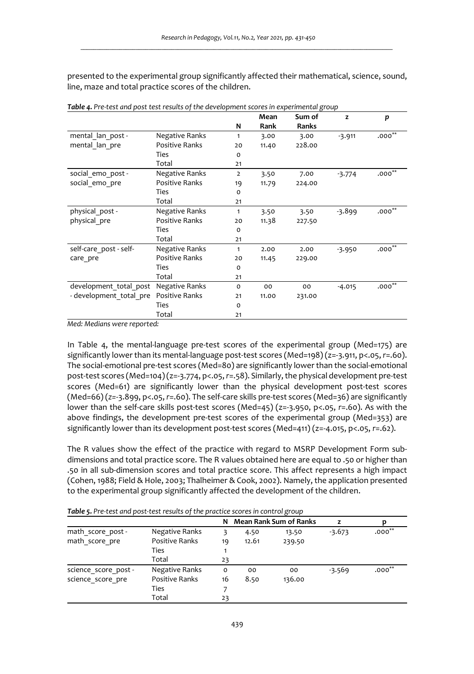presented to the experimental group significantly affected their mathematical, science, sound, line, maze and total practice scores of the children.

|                         |                       |                | Mean  | Sum of | z        | p           |
|-------------------------|-----------------------|----------------|-------|--------|----------|-------------|
|                         |                       | N              | Rank  | Ranks  |          |             |
| mental lan post -       | Negative Ranks        | 1              | 3.00  | 3.00   | $-3.911$ | $.000^{**}$ |
| mental lan pre          | Positive Ranks        | 20             | 11.40 | 228.00 |          |             |
|                         | Ties                  | 0              |       |        |          |             |
|                         | Total                 | 21             |       |        |          |             |
| social emo post -       | Negative Ranks        | $\overline{2}$ | 3.50  | 7.00   | $-3.774$ | $.000^{**}$ |
| social emo pre          | Positive Ranks        | 19             | 11.79 | 224.00 |          |             |
|                         | Ties                  | O              |       |        |          |             |
|                         | Total                 | 21             |       |        |          |             |
| physical post -         | Negative Ranks        | $\mathbf{1}$   | 3.50  | 3.50   | $-3.899$ | $.000^{**}$ |
| physical pre            | <b>Positive Ranks</b> | 20             | 11.38 | 227.50 |          |             |
|                         | Ties                  | O              |       |        |          |             |
|                         | Total                 | 21             |       |        |          |             |
| self-care post - self-  | Negative Ranks        | 1              | 2.00  | 2.00   | $-3.950$ | $.000^{**}$ |
| care pre                | <b>Positive Ranks</b> | 20             | 11.45 | 229.00 |          |             |
|                         | <b>Ties</b>           | $\Omega$       |       |        |          |             |
|                         | Total                 | 21             |       |        |          |             |
| development total post  | Negative Ranks        | $\Omega$       | 00    | 00     | $-4.015$ | $.000**$    |
| - development total pre | <b>Positive Ranks</b> | 21             | 11.00 | 231.00 |          |             |
|                         | Ties                  | o              |       |        |          |             |
|                         | Total                 | 21             |       |        |          |             |

*Table 4. Pre-test and post test results of the development scores in experimental group* 

*Med: Medians were reported:* 

In Table 4, the mental-language pre-test scores of the experimental group (Med=175) are significantly lower than its mental-language post-test scores (Med=198) (z=-3.911, p<.05, *r*=.60). The social-emotional pre-test scores (Med=80) are significantly lower than the social-emotional post-test scores (Med=104) (z=-3.774, p<.05, *r*=.58). Similarly, the physical development pre-test scores (Med=61) are significantly lower than the physical development post-test scores (Med=66) (*z=*-3.899, p<.05, *r*=.60). The self-care skills pre-test scores (Med=36) are significantly lower than the self-care skills post-test scores (Med=45) (z=-3.950, p<.05, *r*=.60). As with the above findings, the development pre-test scores of the experimental group (Med=353) are significantly lower than its development post-test scores (Med=411) (z=-4.015, p<.05, *r*=.62).

The R values show the effect of the practice with regard to MSRP Development Form subdimensions and total practice score. The R values obtained here are equal to .50 or higher than .50 in all sub-dimension scores and total practice score. This affect represents a high impact (Cohen, 1988; Field & Hole, 2003; Thalheimer & Cook, 2002). Namely, the application presented to the experimental group significantly affected the development of the children.

|                      |                | N  |       | <b>Mean Rank Sum of Ranks</b> | z        |           |
|----------------------|----------------|----|-------|-------------------------------|----------|-----------|
| math score post -    | Negative Ranks |    | 4.50  | 13.50                         | $-3.673$ | $.000**$  |
| math score pre       | Positive Ranks | 19 | 12.61 | 239.50                        |          |           |
|                      | Ties           |    |       |                               |          |           |
|                      | Total          | 23 |       |                               |          |           |
| science score post - | Negative Ranks | o  | 00    | 00                            | $-3.569$ | $.000***$ |
| science score pre    | Positive Ranks | 16 | 8.50  | 136.00                        |          |           |
|                      | Ties           |    |       |                               |          |           |
|                      | Total          | 23 |       |                               |          |           |

*Table 5. Pre-test and post-test results of the practice scores in control group*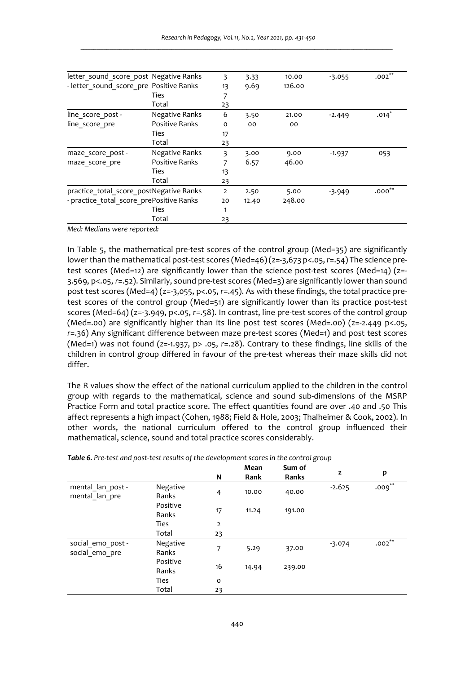| letter sound score post Negative Ranks   |                       | 3              | 3.33  | 10.00  | $-3.055$ | $.002***$ |
|------------------------------------------|-----------------------|----------------|-------|--------|----------|-----------|
| - letter sound score pre Positive Ranks  |                       | 13             | 9.69  | 126.00 |          |           |
|                                          | Ties                  |                |       |        |          |           |
|                                          | Total                 | 23             |       |        |          |           |
| line score post -                        | Negative Ranks        | 6              | 3.50  | 21.00  | $-2.449$ | $.014*$   |
| line score pre                           | <b>Positive Ranks</b> | $\Omega$       | 00    | 00     |          |           |
|                                          | Ties                  | 17             |       |        |          |           |
|                                          | Total                 | 23             |       |        |          |           |
| maze score post -                        | Negative Ranks        | 3              | 3.00  | 9.00   | $-1.937$ | 053       |
| maze score pre                           | <b>Positive Ranks</b> | 7              | 6.57  | 46.00  |          |           |
|                                          | Ties                  | 13             |       |        |          |           |
|                                          | Total                 | 23             |       |        |          |           |
| practice total score postNegative Ranks  |                       | $\overline{2}$ | 2.50  | 5.00   | $-3.949$ | $.000***$ |
| - practice total score prePositive Ranks |                       | 20             | 12.40 | 248.00 |          |           |
|                                          | Ties                  | 1              |       |        |          |           |
|                                          | Total                 | 23             |       |        |          |           |

*Med: Medians were reported:* 

In Table 5, the mathematical pre-test scores of the control group (Med=35) are significantly lower than the mathematical post-test scores (Med=46) (z=-3,673 p<.05, *r*=.54) The science pretest scores (Med=12) are significantly lower than the science post-test scores (Med=14) (z=- 3.569, p<.05, *r*=.52). Similarly, sound pre-test scores (Med=3) are significantly lower than sound post test scores (Med=4) (z=-3,055, p<.05, *r*=.45). As with these findings, the total practice pretest scores of the control group (Med=51) are significantly lower than its practice post-test scores (Med=64) (z=-3.949, p<.05, *r*=.58). In contrast, line pre-test scores of the control group (Med=.00) are significantly higher than its line post test scores (Med=.00)  $(z=2.449 \text{ p} < 0.05,$ *r*=.36) Any significant difference between maze pre-test scores (Med=1) and post test scores (Med=1) was not found (*z=*-1.937, p> .05, *r*=.28). Contrary to these findings, line skills of the children in control group differed in favour of the pre-test whereas their maze skills did not differ.

The R values show the effect of the national curriculum applied to the children in the control group with regards to the mathematical, science and sound sub-dimensions of the MSRP Practice Form and total practice score. The effect quantities found are over .40 and .50 This affect represents a high impact (Cohen, 1988; Field & Hole, 2003; Thalheimer & Cook, 2002). In other words, the national curriculum offered to the control group influenced their mathematical, science, sound and total practice scores considerably.

|                                     |                   |                | Mean  | Sum of |          |           |
|-------------------------------------|-------------------|----------------|-------|--------|----------|-----------|
|                                     |                   | N              | Rank  | Ranks  | z        | p         |
| mental lan post -<br>mental lan pre | Negative<br>Ranks | $\overline{4}$ | 10.00 | 40.00  | $-2.625$ | $.009***$ |
|                                     | Positive<br>Ranks | 17             | 11.24 | 191.00 |          |           |
|                                     | <b>Ties</b>       | 2              |       |        |          |           |
|                                     | Total             | 23             |       |        |          |           |
| social emo post -<br>social emo pre | Negative<br>Ranks | 7              | 5.29  | 37.00  | $-3.074$ | $.002***$ |
|                                     | Positive<br>Ranks | 16             | 14.94 | 239.00 |          |           |
|                                     | <b>Ties</b>       | $\circ$        |       |        |          |           |
|                                     | Total             | 23             |       |        |          |           |

| Table 6. Pre-test and post-test results of the development scores in the control group |  |  |
|----------------------------------------------------------------------------------------|--|--|
|                                                                                        |  |  |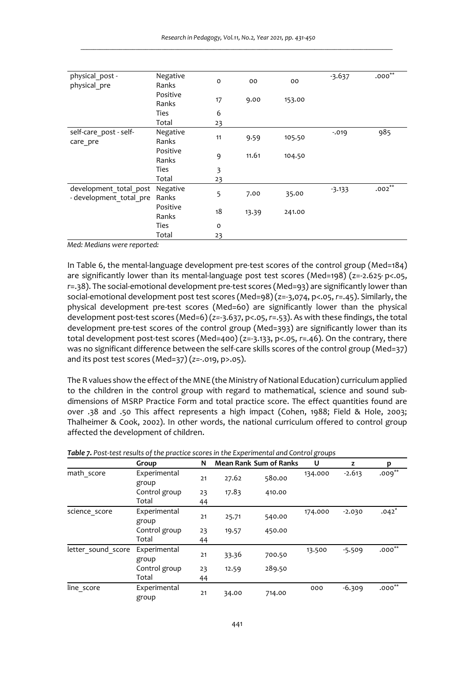| physical post -<br>physical pre                   | Negative<br>Ranks | $\circ$        | 00    | 00     | $-3.637$ | $.000^{**}$ |
|---------------------------------------------------|-------------------|----------------|-------|--------|----------|-------------|
|                                                   | Positive<br>Ranks | 17             | 9.00  | 153.00 |          |             |
|                                                   | <b>Ties</b>       | 6              |       |        |          |             |
|                                                   | Total             | 23             |       |        |          |             |
| self-care post - self-<br>care pre                | Negative<br>Ranks | 11             | 9.59  | 105.50 | $-0.019$ | 985         |
|                                                   | Positive<br>Ranks | 9              | 11.61 | 104.50 |          |             |
|                                                   | Ties              | $\overline{3}$ |       |        |          |             |
|                                                   | Total             | 23             |       |        |          |             |
| development_total_post<br>- development total pre | Negative<br>Ranks | 5              | 7.00  | 35.00  | $-3.133$ | $.002***$   |
|                                                   | Positive<br>Ranks | 18             | 13.39 | 241.00 |          |             |
|                                                   | <b>Ties</b>       | $\circ$        |       |        |          |             |
|                                                   | Total             | 23             |       |        |          |             |

*Med: Medians were reported:* 

In Table 6, the mental-language development pre-test scores of the control group (Med=184) are significantly lower than its mental-language post test scores (Med=198) (z=-2.625, p<.05, *r*=.38). The social-emotional development pre-test scores (Med=93) are significantly lower than social-emotional development post test scores (Med=98) (z=-3,074, p<.05, *r*=.45). Similarly, the physical development pre-test scores (Med=60) are significantly lower than the physical development post-test scores (Med=6) (*z=*-3.637, p<.05, *r*=.53). As with these findings, the total development pre-test scores of the control group (Med=393) are significantly lower than its total development post-test scores (Med=400) (z=-3.133, p<.05, *r*=.46). On the contrary, there was no significant difference between the self-care skills scores of the control group (Med=37) and its post test scores (Med=37) (*z=*-.019, p>.05).

The R values show the effect of the MNE (the Ministry of National Education) curriculum applied to the children in the control group with regard to mathematical, science and sound subdimensions of MSRP Practice Form and total practice score. The effect quantities found are over .38 and .50 This affect represents a high impact (Cohen, 1988; Field & Hole, 2003; Thalheimer & Cook, 2002). In other words, the national curriculum offered to control group affected the development of children.

|                    | Group                 | N  |       | <b>Mean Rank Sum of Ranks</b> | U       | z        | p         |
|--------------------|-----------------------|----|-------|-------------------------------|---------|----------|-----------|
| math score         | Experimental<br>group | 21 | 27.62 | 580.00                        | 134.000 | $-2.613$ | $.009***$ |
|                    | Control group         | 23 | 17.83 | 410.00                        |         |          |           |
|                    | Total                 | 44 |       |                               |         |          |           |
| science score      | Experimental<br>group | 21 | 25.71 | 540.00                        | 174.000 | $-2.030$ | $.042*$   |
|                    | Control group         | 23 | 19.57 | 450.00                        |         |          |           |
|                    | Total                 | 44 |       |                               |         |          |           |
| letter sound score | Experimental<br>group | 21 | 33.36 | 700.50                        | 13.500  | $-5.509$ | $.000**$  |
|                    | Control group         | 23 | 12.59 | 289.50                        |         |          |           |
|                    | Total                 | 44 |       |                               |         |          |           |
| line score         | Experimental<br>group | 21 | 34.00 | 714.00                        | 000     | $-6.309$ | $.000**$  |

*Table 7. Post-test results of the practice scores in the Experimental and Control groups*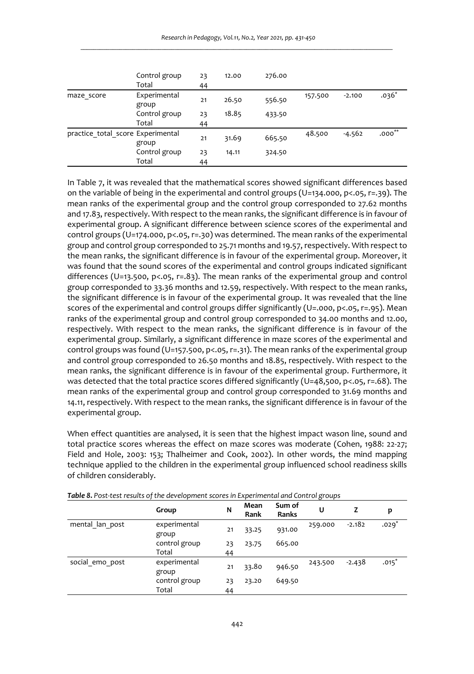|                                            | Control group<br>Total | 23<br>44 | 12.00 | 276.00 |         |          |          |
|--------------------------------------------|------------------------|----------|-------|--------|---------|----------|----------|
| maze score                                 | Experimental<br>group  | 21       | 26.50 | 556.50 | 157.500 | $-2.100$ | $.036*$  |
|                                            | Control group          | 23       | 18.85 | 433.50 |         |          |          |
|                                            | Total                  | 44       |       |        |         |          |          |
| practice total score Experimental<br>group |                        | 21       | 31.69 | 665.50 | 48.500  | $-4.562$ | $.000**$ |
|                                            | Control group          | 23       | 14.11 | 324.50 |         |          |          |
|                                            | Total                  | 44       |       |        |         |          |          |

In Table 7, it was revealed that the mathematical scores showed significant differences based on the variable of being in the experimental and control groups (U=134.000, p<.05, r=.39). The mean ranks of the experimental group and the control group corresponded to 27.62 months and 17.83, respectively. With respect to the mean ranks, the significant difference is in favour of experimental group. A significant difference between science scores of the experimental and control groups (U=174.000, p<.05, r=.30) was determined. The mean ranks of the experimental group and control group corresponded to 25.71 months and 19.57, respectively. With respect to the mean ranks, the significant difference is in favour of the experimental group. Moreover, it was found that the sound scores of the experimental and control groups indicated significant differences (U=13.500, p<.05, r=.83). The mean ranks of the experimental group and control group corresponded to 33.36 months and 12.59, respectively. With respect to the mean ranks, the significant difference is in favour of the experimental group. It was revealed that the line scores of the experimental and control groups differ significantly (U=.000, p<.05, r=.95). Mean ranks of the experimental group and control group corresponded to 34.00 months and 12.00, respectively. With respect to the mean ranks, the significant difference is in favour of the experimental group. Similarly, a significant difference in maze scores of the experimental and control groups was found (U=157.500, p<.05, r=.31). The mean ranks of the experimental group and control group corresponded to 26.50 months and 18.85, respectively. With respect to the mean ranks, the significant difference is in favour of the experimental group. Furthermore, it was detected that the total practice scores differed significantly (U=48,500, p<.05, r=.68). The mean ranks of the experimental group and control group corresponded to 31.69 months and 14.11, respectively. With respect to the mean ranks, the significant difference is in favour of the experimental group.

When effect quantities are analysed, it is seen that the highest impact wason line, sound and total practice scores whereas the effect on maze scores was moderate (Cohen, 1988: 22-27; Field and Hole, 2003: 153; Thalheimer and Cook, 2002). In other words, the mind mapping technique applied to the children in the experimental group influenced school readiness skills of children considerably.

|                 | Group                 | N  | Mean<br>Rank | Sum of<br>Ranks | U       | z        | p       |
|-----------------|-----------------------|----|--------------|-----------------|---------|----------|---------|
| mental lan post | experimental<br>group | 21 | 33.25        | 931.00          | 259.000 | $-2.182$ | $.029*$ |
|                 | control group         | 23 | 23.75        | 665.00          |         |          |         |
|                 | Total                 | 44 |              |                 |         |          |         |
| social emo post | experimental<br>group | 21 | 33.80        | 946.50          | 243.500 | $-2.438$ | $.015*$ |
|                 | control group         | 23 | 23.20        | 649.50          |         |          |         |
|                 | Total                 | 44 |              |                 |         |          |         |

*Table 8. Post-test results of the development scores in Experimental and Control groups*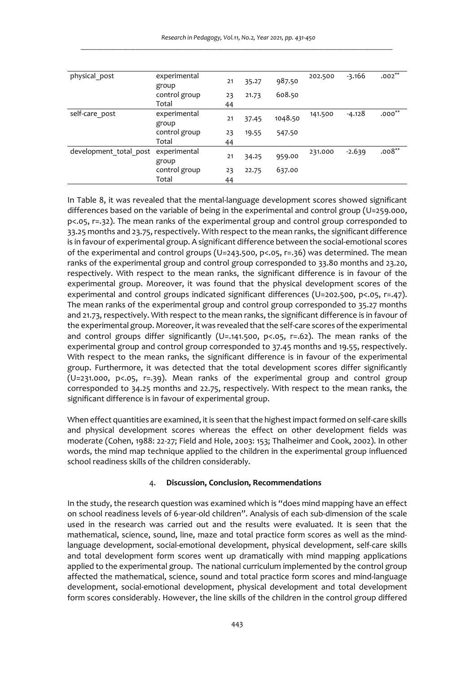| physical post          | experimental<br>group | 21 | 35.27 | 987.50  | 202.500 | $-3.166$ | $.002***$ |
|------------------------|-----------------------|----|-------|---------|---------|----------|-----------|
|                        | control group         | 23 | 21.73 | 608.50  |         |          |           |
|                        | Total                 | 44 |       |         |         |          |           |
| self-care post         | experimental<br>group | 21 | 37.45 | 1048.50 | 141.500 | $-4.128$ | $.000**$  |
|                        | control group         | 23 | 19.55 | 547.50  |         |          |           |
|                        | Total                 | 44 |       |         |         |          |           |
| development total post | experimental<br>group | 21 | 34.25 | 959.00  | 231.000 | $-2.639$ | $.008***$ |
|                        | control group         | 23 | 22.75 | 637.00  |         |          |           |
|                        | Total                 | 44 |       |         |         |          |           |

In Table 8, it was revealed that the mental-language development scores showed significant differences based on the variable of being in the experimental and control group (U=259.000, p<.05, r=.32). The mean ranks of the experimental group and control group corresponded to 33.25 months and 23.75, respectively. With respect to the mean ranks, the significant difference is in favour of experimental group. A significant difference between the social-emotional scores of the experimental and control groups (U=243.500, p<.05, r=.36) was determined. The mean ranks of the experimental group and control group corresponded to 33.80 months and 23.20, respectively. With respect to the mean ranks, the significant difference is in favour of the experimental group. Moreover, it was found that the physical development scores of the experimental and control groups indicated significant differences (U=202.500, p<.05, r=.47). The mean ranks of the experimental group and control group corresponded to 35.27 months and 21.73, respectively. With respect to the mean ranks, the significant difference is in favour of the experimental group. Moreover, it was revealed that the self-care scores of the experimental and control groups differ significantly (U=.141.500, p<.05, r=.62). The mean ranks of the experimental group and control group corresponded to 37.45 months and 19.55, respectively. With respect to the mean ranks, the significant difference is in favour of the experimental group. Furthermore, it was detected that the total development scores differ significantly  $(U=231.000, p<.05, r=.39)$ . Mean ranks of the experimental group and control group corresponded to 34.25 months and 22.75, respectively. With respect to the mean ranks, the significant difference is in favour of experimental group.

When effect quantities are examined, it is seen that the highest impact formed on self-care skills and physical development scores whereas the effect on other development fields was moderate (Cohen, 1988: 22-27; Field and Hole, 2003: 153; Thalheimer and Cook, 2002). In other words, the mind map technique applied to the children in the experimental group influenced school readiness skills of the children considerably.

### 4. **Discussion, Conclusion, Recommendations**

In the study, the research question was examined which is "does mind mapping have an effect on school readiness levels of 6-year-old children". Analysis of each sub-dimension of the scale used in the research was carried out and the results were evaluated. It is seen that the mathematical, science, sound, line, maze and total practice form scores as well as the mindlanguage development, social-emotional development, physical development, self-care skills and total development form scores went up dramatically with mind mapping applications applied to the experimental group. The national curriculum implemented by the control group affected the mathematical, science, sound and total practice form scores and mind-language development, social-emotional development, physical development and total development form scores considerably. However, the line skills of the children in the control group differed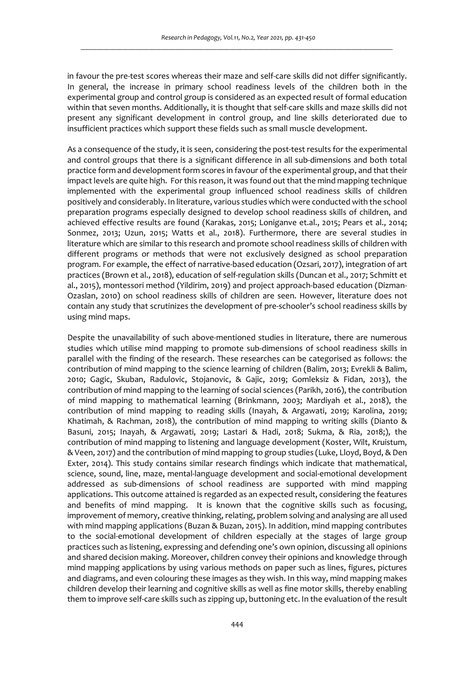in favour the pre-test scores whereas their maze and self-care skills did not differ significantly. In general, the increase in primary school readiness levels of the children both in the experimental group and control group is considered as an expected result of formal education within that seven months. Additionally, it is thought that self-care skills and maze skills did not present any significant development in control group, and line skills deteriorated due to insufficient practices which support these fields such as small muscle development.

As a consequence of the study, it is seen, considering the post-test results for the experimental and control groups that there is a significant difference in all sub-dimensions and both total practice form and development form scores in favour of the experimental group, and that their impact levels are quite high. For this reason, it was found out that the mind mapping technique implemented with the experimental group influenced school readiness skills of children positively and considerably. In literature, various studies which were conducted with the school preparation programs especially designed to develop school readiness skills of children, and achieved effective results are found (Karakas, 2015; Loniganve et.al., 2015; Pears et al., 2014; Sonmez, 2013; Uzun, 2015; Watts et al., 2018). Furthermore, there are several studies in literature which are similar to this research and promote school readiness skills of children with different programs or methods that were not exclusively designed as school preparation program. For example, the effect of narrative-based education (Ozsari, 2017), integration of art practices (Brown et al., 2018), education of self-regulation skills (Duncan et al., 2017; Schmitt et al., 2015), montessori method (Yildirim, 2019) and project approach-based education (Dizman-Ozaslan, 2010) on school readiness skills of children are seen. However, literature does not contain any study that scrutinizes the development of pre-schooler's school readiness skills by using mind maps.

Despite the unavailability of such above-mentioned studies in literature, there are numerous studies which utilise mind mapping to promote sub-dimensions of school readiness skills in parallel with the finding of the research. These researches can be categorised as follows: the contribution of mind mapping to the science learning of children (Balim, 2013; Evrekli & Balim, 2010; Gagic, Skuban, Radulovic, Stojanovic, & Gajic, 2019; Gomleksiz & Fidan, 2013), the contribution of mind mapping to the learning of social sciences (Parikh, 2016), the contribution of mind mapping to mathematical learning (Brinkmann, 2003; Mardiyah et al., 2018), the contribution of mind mapping to reading skills (Inayah, & Argawati, 2019; Karolina, 2019; Khatimah, & Rachman, 2018), the contribution of mind mapping to writing skills (Dianto & Basuni, 2015; Inayah, & Argawati, 2019; Lastari & Hadi, 2018; Sukma, & Ria, 2018;), the contribution of mind mapping to listening and language development (Koster, Wilt, Kruistum, & Veen, 2017) and the contribution of mind mapping to group studies (Luke, Lloyd, Boyd, & Den Exter, 2014). This study contains similar research findings which indicate that mathematical, science, sound, line, maze, mental-language development and social-emotional development addressed as sub-dimensions of school readiness are supported with mind mapping applications. This outcome attained is regarded as an expected result, considering the features and benefits of mind mapping. It is known that the cognitive skills such as focusing, improvement of memory, creative thinking, relating, problem solving and analysing are all used with mind mapping applications (Buzan & Buzan, 2015). In addition, mind mapping contributes to the social-emotional development of children especially at the stages of large group practices such as listening, expressing and defending one's own opinion, discussing all opinions and shared decision making. Moreover, children convey their opinions and knowledge through mind mapping applications by using various methods on paper such as lines, figures, pictures and diagrams, and even colouring these images as they wish. In this way, mind mapping makes children develop their learning and cognitive skills as well as fine motor skills, thereby enabling them to improve self-care skills such as zipping up, buttoning etc. In the evaluation of the result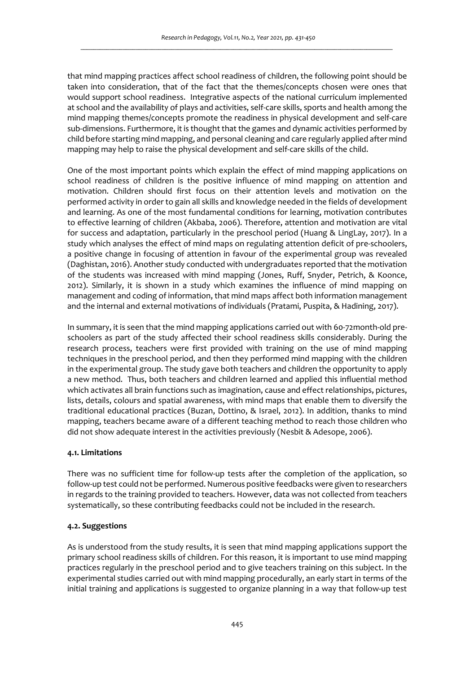that mind mapping practices affect school readiness of children, the following point should be taken into consideration, that of the fact that the themes/concepts chosen were ones that would support school readiness. Integrative aspects of the national curriculum implemented at school and the availability of plays and activities, self-care skills, sports and health among the mind mapping themes/concepts promote the readiness in physical development and self-care sub-dimensions. Furthermore, it is thought that the games and dynamic activities performed by child before starting mind mapping, and personal cleaning and care regularly applied after mind mapping may help to raise the physical development and self-care skills of the child.

One of the most important points which explain the effect of mind mapping applications on school readiness of children is the positive influence of mind mapping on attention and motivation. Children should first focus on their attention levels and motivation on the performed activity in order to gain all skills and knowledge needed in the fields of development and learning. As one of the most fundamental conditions for learning, motivation contributes to effective learning of children (Akbaba, 2006). Therefore, attention and motivation are vital for success and adaptation, particularly in the preschool period (Huang & LingLay, 2017). In a study which analyses the effect of mind maps on regulating attention deficit of pre-schoolers, a positive change in focusing of attention in favour of the experimental group was revealed (Daghistan, 2016). Another study conducted with undergraduates reported that the motivation of the students was increased with mind mapping (Jones, Ruff, Snyder, Petrich, & Koonce, 2012). Similarly, it is shown in a study which examines the influence of mind mapping on management and coding of information, that mind maps affect both information management and the internal and external motivations of individuals (Pratami, Puspita, & Hadining, 2017).

In summary, it is seen that the mind mapping applications carried out with 60-72month-old preschoolers as part of the study affected their school readiness skills considerably. During the research process, teachers were first provided with training on the use of mind mapping techniques in the preschool period, and then they performed mind mapping with the children in the experimental group. The study gave both teachers and children the opportunity to apply a new method. Thus, both teachers and children learned and applied this influential method which activates all brain functions such as imagination, cause and effect relationships, pictures, lists, details, colours and spatial awareness, with mind maps that enable them to diversify the traditional educational practices (Buzan, Dottino, & Israel, 2012). In addition, thanks to mind mapping, teachers became aware of a different teaching method to reach those children who did not show adequate interest in the activities previously (Nesbit & Adesope, 2006).

### **4.1. Limitations**

There was no sufficient time for follow-up tests after the completion of the application, so follow-up test could not be performed. Numerous positive feedbacks were given to researchers in regards to the training provided to teachers. However, data was not collected from teachers systematically, so these contributing feedbacks could not be included in the research.

### **4.2. Suggestions**

As is understood from the study results, it is seen that mind mapping applications support the primary school readiness skills of children. For this reason, it is important to use mind mapping practices regularly in the preschool period and to give teachers training on this subject. In the experimental studies carried out with mind mapping procedurally, an early start in terms of the initial training and applications is suggested to organize planning in a way that follow-up test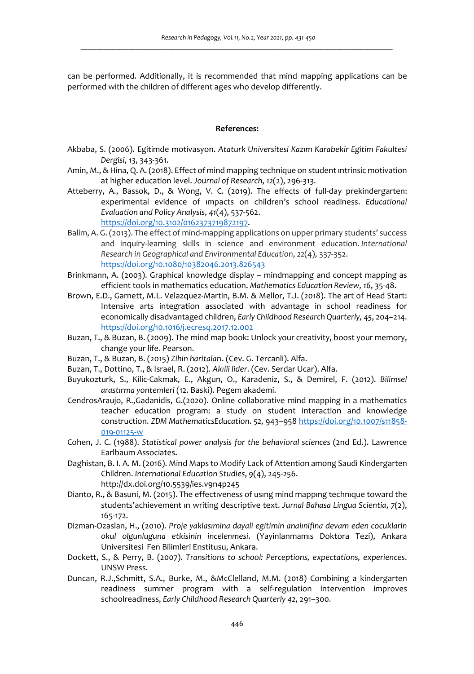can be performed. Additionally, it is recommended that mind mapping applications can be performed with the children of different ages who develop differently.

## **References:**

- Akbaba, S. (2006). Egitimde motivasyon. *Ataturk Universitesi Kazım Karabekir Egitim Fakultesi Dergisi*, *13*, 343-361.
- Amin, M., & Hina, Q. A. (2018). Effect of mind mapping technique on student ıntrinsic motivation at higher education level. *Journal of Research*, *12*(2), 296-313.
- Atteberry, A., Bassok, D., & Wong, V. C. (2019). The effects of full-day prekindergarten: experimental evidence of ımpacts on children's school readiness. *Educational Evaluation and Policy Analysis*, *41*(4), 537-562.

https://doi.org/10.3102/0162373719872197.

- Balim, A. G. (2013). The effect of mind-mapping applications on upper primary students' success and inquiry-learning skills in science and environment education. *International Research in Geographical and Environmental Education*, *22*(4), 337-352. https://doi.org/10.1080/10382046.2013.826543
- Brinkmann, A. (2003). Graphical knowledge display mindmapping and concept mapping as efficient tools in mathematics education. *Mathematics Education Review, 16*, 35-48.
- Brown, E.D., Garnett, M.L. Velazquez-Martin, B.M. & Mellor, T.J. (2018). The art of Head Start: Intensive arts integration associated with advantage in school readiness for economically disadvantaged children, *Early Childhood Research Quarterly, 45*, 204–214. https://doi.org/10.1016/j.ecresq.2017.12.002
- Buzan, T., & Buzan, B. (2009). The mind map book: Unlock your creativity, boost your memory, change your life. Pearson.
- Buzan, T., & Buzan, B. (2015) *Zihin haritaları*. (Cev. G. Tercanli). Alfa.
- Buzan, T., Dottino, T., & Israel, R. (2012). *Akılli lider*. (Cev. Serdar Ucar). Alfa.
- Buyukozturk, S., Kilic-Cakmak, E., Akgun, O., Karadeniz, S., & Demirel, F. (2012). *Bilimsel arastırma yontemleri* (12. Baski). Pegem akademi.
- CendrosAraujo, R.,Gadanidis, G.(2020). Online collaborative mind mapping in a mathematics teacher education program: a study on student interaction and knowledge construction. *ZDM MathematicsEducation*. *52*, 943–958 https://doi.org/10.1007/s11858- 019-01125-w
- Cohen, J. C. (1988). *Statistical power analysis for the behavioral sciences* (2nd Ed.). Lawrence Earlbaum Associates.
- Daghistan, B. I. A. M. (2016). Mind Maps to Modify Lack of Attention among Saudi Kindergarten Children. *International Education Studies*, *9*(4), 245-256. http://dx.doi.org/10.5539/ies.v9n4p245
- Dianto, R., & Basuni, M. (2015). The effectıveness of usıng mind mappıng technıque toward the students'achievement ın writing descriptive text. *Jurnal Bahasa Lingua Scientia*, *7*(2), 165-172.
- Dizman-Ozaslan, H., (2010). *Proje yaklasımina dayali egitimin anaiınifina devam eden cocuklarin okul olgunluguna etkisinin incelenmesi*. (Yayinlanmamıs Doktora Tezi), Ankara Universitesi Fen Bilimleri Enstitusu, Ankara.
- Dockett, S., & Perry, B. (2007). *Transitions to school: Perceptions, expectations, experiences*. UNSW Press.
- Duncan, R.J.,Schmitt, S.A., Burke, M., &McClelland, M.M. (2018) Combining a kindergarten readiness summer program with a self-regulation intervention improves schoolreadiness, *Early Childhood Research Quarterly 42*, 291–300.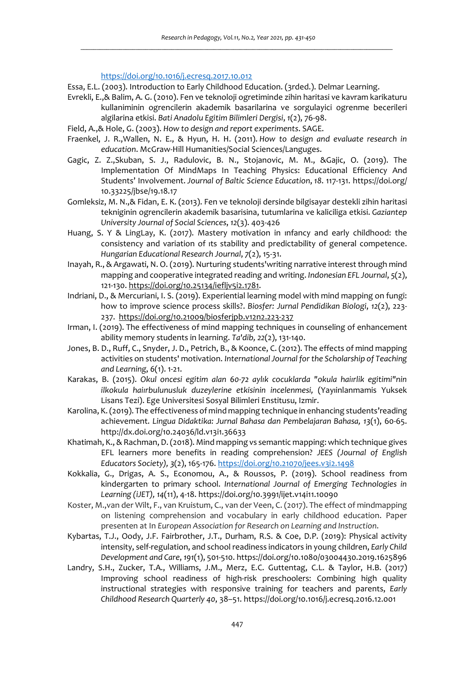https://doi.org/10.1016/j.ecresq.2017.10.012

Essa, E.L. (2003). Introduction to Early Childhood Education. (3rded.). Delmar Learning.

- Evrekli, E.,& Balim, A. G. (2010). Fen ve teknoloji ogretiminde zihin haritasi ve kavram karikaturu kullaniminin ogrencilerin akademik basarilarina ve sorgulayici ogrenme becerileri algilarina etkisi. *Bati Anadolu Egitim Bilimleri Dergisi*, *1*(2), 76-98.
- Field, A.,& Hole, G. (2003). *How to design and report experiments*. SAGE.
- Fraenkel, J. R.,Wallen, N. E., & Hyun, H. H. (2011). *How to design and evaluate research in education*. McGraw-Hill Humanities/Social Sciences/Languges.
- Gagic, Z. Z.,Skuban, S. J., Radulovic, B. N., Stojanovic, M. M., &Gajic, O. (2019). The Implementation Of MindMaps In Teaching Physics: Educational Efficiency And Students' Involvement. *Journal of Baltic Science Education*, *18*. 117-131. https://doi.org/ 10.33225/jbse/19.18.17
- Gomleksiz, M. N.,& Fidan, E. K. (2013). Fen ve teknoloji dersinde bilgisayar destekli zihin haritasi tekniginin ogrencilerin akademik basarisina, tutumlarina ve kaliciliga etkisi. *Gaziantep University Journal of Social Sciences*, *12*(3). 403-426
- Huang, S. Y & LingLay, K. (2017). Mastery motivation in ınfancy and early childhood: the consistency and variation of ıts stability and predictability of general competence. *Hungarian Educational Research Journal*, *7*(2), 15-31.
- Inayah, R., & Argawati, N. O. (2019). Nurturing students'writing narrative interest through mind mapping and cooperative integrated reading and writing. *Indonesian EFL Journal*, *5*(2), 121-130. https://doi.org/10.25134/iefljv5i2.1781.
- Indriani, D., & Mercuriani, I. S. (2019). Experiential learning model with mind mapping on fungi: how to improve science process skills?. *Biosfer: Jurnal Pendidikan Biologi*, *12*(2), 223- 237.https://doi.org/10.21009/biosferjpb.v12n2.223-237
- Irman, I. (2019). The effectiveness of mind mapping techniques in counseling of enhancement ability memory students in learning. *Ta'dib, 22*(2), 131-140.
- Jones, B. D., Ruff, C., Snyder, J. D., Petrich, B., & Koonce, C. (2012). The effects of mind mapping activities on students' motivation. *International Journal for the Scholarship of Teaching and Learning*, *6*(1). 1-21.
- Karakas, B. (2015). *Okul oncesi egitim alan 60-72 aylık cocuklarda "okula haiırlik egitimi"nin ilkokula haiırbulunusluk duzeylerine etkisinin incelenmesi,* (Yayıinlanmamis Yuksek Lisans Tezi). Ege Universitesi Sosyal Bilimleri Enstitusu, Izmir.
- Karolina, K. (2019). The effectiveness of mind mapping technique in enhancing students'reading achievement. *Lingua Didaktika: Jurnal Bahasa dan Pembelajaran Bahasa, 13*(1), 60-65. http://dx.doi.org/10.24036/ld.v13i1.36633
- Khatimah, K., & Rachman, D. (2018). Mind mapping vs semantic mapping: which technique gives EFL learners more benefits in reading comprehension? *JEES (Journal of English Educators Society), 3*(2), 165-176. https://doi.org/10.21070/jees.v3i2.1498
- Kokkalia, G., Drigas, A. S., Economou, A., & Roussos, P. (2019). School readiness from kindergarten to primary school. *International Journal of Emerging Technologies in Learning (iJET), 14*(11), 4-18. https://doi.org/10.3991/ijet.v14i11.10090
- Koster, M.,van der Wilt, F., van Kruistum, C., van der Veen, C. (2017). The effect of mindmapping on listening comprehension and vocabulary in early childhood education. Paper presenten at In *European Association for Research on Learning and Instruction*.
- Kybartas, T.J., Oody, J.F. Fairbrother, J.T., Durham, R.S. & Coe, D.P. (2019): Physical activity intensity, self-regulation, and school readiness indicators in young children, *Early Child Development and Care*, *191*(1), 501-510. https://doi.org/10.1080/03004430.2019.1625896
- Landry, S.H., Zucker, T.A., Williams, J.M., Merz, E.C. Guttentag, C.L. & Taylor, H.B. (2017) Improving school readiness of high-risk preschoolers: Combining high quality instructional strategies with responsive training for teachers and parents, *Early Childhood Research Quarterly 40*, 38–51. https://doi.org/10.1016/j.ecresq.2016.12.001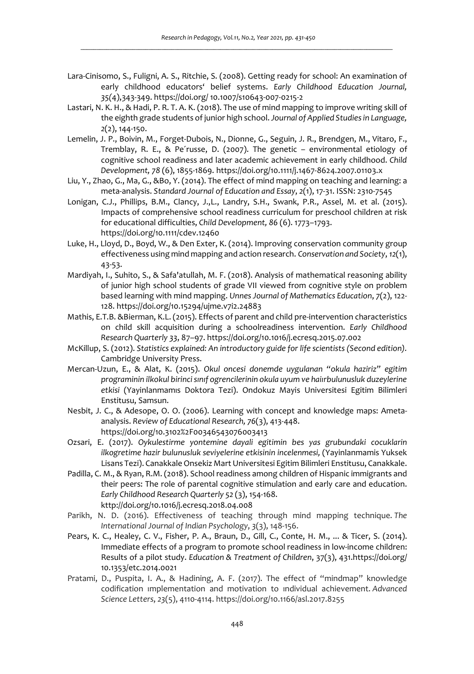- Lara-Cinisomo, S., Fuligni, A. S., Ritchie, S. (2008). Getting ready for school: An examination of early childhood educators' belief systems. *Early Childhood Education Journal, 35(*4),343-349. https://doi.org/ 10.1007/s10643-007-0215-2
- Lastari, N. K. H., & Hadi, P. R. T. A. K. (2018). The use of mind mapping to improve writing skill of the eighth grade students of junior high school. *Journal of Applied Studies in Language, 2*(2), 144-150.
- Lemelin, J. P., Boivin, M., Forget-Dubois, N., Dionne, G., Seguin, J. R., Brendgen, M., Vitaro, F., Tremblay, R. E., & Pe´russe, D. (2007). The genetic – environmental etiology of cognitive school readiness and later academic achievement in early childhood. *Child Development, 78* (6), 1855-1869. https://doi.org/10.1111/j.1467-8624.2007.01103.x
- Liu, Y., Zhao, G., Ma, G., &Bo, Y. (2014). The effect of mind mapping on teaching and learning: a meta-analysis. *Standard Journal of Education and Essay*, *2*(1), 17-31. ISSN: 2310-7545
- Lonigan, C.J., Phillips, B.M., Clancy, J.,L., Landry, S.H., Swank, P.R., Assel, M. et al. (2015). Impacts of comprehensive school readiness curriculum for preschool children at risk for educational difficulties, *Child Development, 86* (6). 1773–1793. https://doi.org/10.1111/cdev.12460
- Luke, H., Lloyd, D., Boyd, W., & Den Exter, K. (2014). Improving conservation community group effectiveness using mind mapping and action research. *Conservation and Society*, *12*(1), 43-53.
- Mardiyah, I., Suhito, S., & Safa'atullah, M. F. (2018). Analysis of mathematical reasoning ability of junior high school students of grade VII viewed from cognitive style on problem based learning with mind mapping. *Unnes Journal of Mathematics Education*, *7*(2), 122- 128. https://doi.org/10.15294/ujme.v7i2.24883
- Mathis, E.T.B. &Bierman, K.L. (2015). Effects of parent and child pre-intervention characteristics on child skill acquisition during a schoolreadiness intervention. *Early Childhood Research Quarterly 33*, 87–97. https://doi.org/10.1016/j.ecresq.2015.07.002
- McKillup, S. (2012). *Statistics explained: An introductory guide for life scientists (Second edition).* Cambridge University Press.
- Mercan-Uzun, E., & Alat, K. (2015). *Okul oncesi donemde uygulanan "okula haziriz" egitim programinin ilkokul birinci sınıf ogrencilerinin okula uyum ve haiırbulunusluk duzeylerine etkisi* (Yayinlanmamıs Doktora Tezi). Ondokuz Mayis Universitesi Egitim Bilimleri Enstitusu, Samsun.
- Nesbit, J. C., & Adesope, O. O. (2006). Learning with concept and knowledge maps: Ametaanalysis. *Review of Educational Research, 76*(3), 413-448. https://doi.org/10.3102%2F00346543076003413
- Ozsari, E. (2017). *Oykulestirme yontemine dayali egitimin bes yas grubundaki cocuklarin ilkogretime hazir bulunusluk seviyelerine etkisinin incelenmesi,* (Yayinlanmamis Yuksek Lisans Tezi). Canakkale Onsekiz Mart Universitesi Egitim Bilimleri Enstitusu, Canakkale.
- Padilla, C. M., & Ryan, R.M. (2018). School readiness among children of Hispanic immigrants and their peers: The role of parental cognitive stimulation and early care and education. *Early Childhood Research Quarterly 52* (3), 154-168. kttp://doi.org/10.1016/j.ecresq.2018.04.008
- Parikh, N. D. (2016). Effectiveness of teaching through mind mapping technique. *The International Journal of Indian Psychology*, *3*(3), 148-156.
- Pears, K. C., Healey, C. V., Fisher, P. A., Braun, D., Gill, C., Conte, H. M., ... & Ticer, S. (2014). Immediate effects of a program to promote school readiness in low-income children: Results of a pilot study. *Education & Treatment of Children*, 37(3), 431.https://doi.org/ 10.1353/etc.2014.0021
- Pratami, D., Puspita, I. A., & Hadining, A. F. (2017). The effect of "mindmap" knowledge codification ımplementation and motivation to ındividual achievement. *Advanced Science Letters*, *23*(5), 4110-4114. https://doi.org/10.1166/asl.2017.8255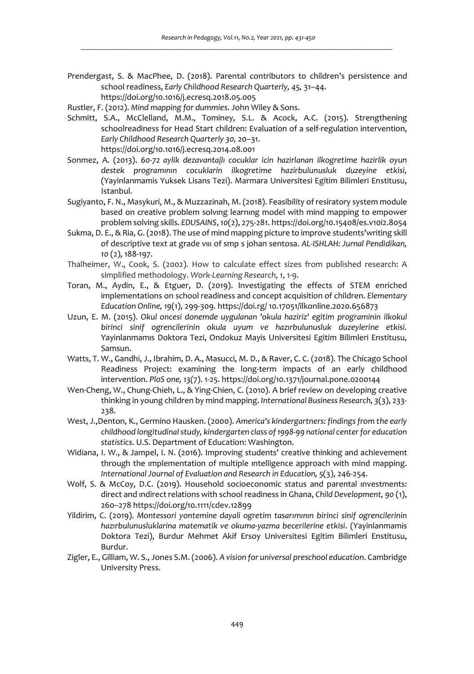Prendergast, S. & MacPhee, D. (2018). Parental contributors to children's persistence and school readiness, *Early Childhood Research Quarterly, 45,* 31–44. https://doi.org/10.1016/j.ecresq.2018.05.005

Rustler, F. (2012). *Mind mapping for dummies*. John Wiley & Sons.

- Schmitt, S.A., McClelland, M.M., Tominey, S.L. & Acock, A.C. (2015). Strengthening schoolreadiness for Head Start children: Evaluation of a self-regulation intervention, *Early Childhood Research Quarterly 30,* 20–31. https://doi.org/10.1016/j.ecresq.2014.08.001
- Sonmez, A. (2013). *60-72 aylik dezavantajlı cocuklar icin hazirlanan ilkogretime hazirlik oyun destek programının cocuklarin ilkogretime hazirbulunusluk duzeyine etkisi,*  (Yayinlanmamis Yuksek Lisans Tezi). Marmara Universitesi Egitim Bilimleri Enstitusu, Istanbul.
- Sugiyanto, F. N., Masykuri, M., & Muzzazinah, M. (2018). Feasibility of resiratory system module based on creative problem solvıng learnıng model with mind mapping to empower problem solving skills. *EDUSAINS*, *10*(2), 275-281. https://doi.org/10.15408/es.v10i2.8054
- Sukma, D. E., & Ria, G. (2018). The use of mind mapping picture to improve students'writing skill of descriptive text at grade vııı of smp s johan sentosa. *AL-ISHLAH: Jurnal Pendidikan, 10* (2), 188-197.
- Thalheimer, W., Cook, S. (2002). How to calculate effect sizes from published research: A simplified methodology. *Work-Learning Research*, *1*, 1-9.
- Toran, M., Aydin, E., & Etguer, D. (2019). Investigating the effects of STEM enriched implementations on school readiness and concept acquisition of children. *Elementary Education Online, 19*(1), 299-309. https://doi.rg/ 10.17051/ilkonline.2020.656873
- Uzun, E. M. (2015). *Okul oncesi donemde uygulanan 'okula haziriz' egitim programinin ilkokul birinci sinif ogrencilerinin okula uyum ve hazırbulunusluk duzeylerine etkisi.*  Yayinlanmamıs Doktora Tezi, Ondokuz Mayis Universitesi Egitim Bilimleri Enstitusu, Samsun.
- Watts, T. W., Gandhi, J., Ibrahim, D. A., Masucci, M. D., & Raver, C. C. (2018). The Chicago School Readiness Project: examining the long-term impacts of an early childhood intervention. *PloS one, 13(*7). 1-25. https://doi.org/10.1371/journal.pone.0200144
- Wen-Cheng, W., Chung-Chieh, L., & Ying-Chien, C. (2010). A brief review on developing creative thinking in young children by mind mapping. *International Business Research, 3*(3), 233- 238.
- West, J.,Denton, K., Germino Hausken. (2000). *America's kindergartners: findings from the early childhood longitudinal study, kindergarten class of 1998-99 national center for education statistics*. U.S. Department of Education: Washington.
- Widiana, I. W., & Jampel, I. N. (2016). Improving students' creative thinking and achievement through the ımplementation of multiple ıntelligence approach with mind mapping. *International Journal of Evaluation and Research in Education, 5*(3), 246-254.
- Wolf, S. & McCoy, D.C. (2019). Household socioeconomic status and parental investments: direct and ındirect relations with school readiness in Ghana, *Child Development, 90* (1), 260–278 https://doi.org/10.1111/cdev.12899
- Yildirim, C. (2019). *Montessori yontemine dayali ogretim tasarımının birinci sinif ogrencilerinin hazırbulunusluklarina matematik ve okuma-yazma becerilerine etkisi*. (Yayinlanmamis Doktora Tezi), Burdur Mehmet Akif Ersoy Universitesi Egitim Bilimleri Enstitusu, Burdur.
- Zigler, E., Gilliam, W. S., Jones S.M. (2006). *A vision for universal preschool education*. Cambridge University Press.